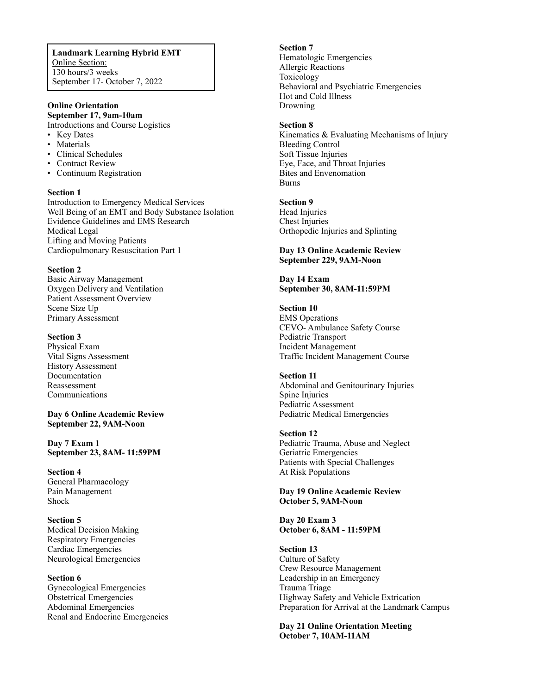**Landmark Learning Hybrid EMT** Online Section: 130 hours/3 weeks September 17- October 7, 2022

# **Online Orientation**

**September 17, 9am-10am** Introductions and Course Logistics

- Key Dates
- Materials
- Clinical Schedules
- Contract Review
- Continuum Registration

#### **Section 1**

Introduction to Emergency Medical Services Well Being of an EMT and Body Substance Isolation Evidence Guidelines and EMS Research Medical Legal Lifting and Moving Patients Cardiopulmonary Resuscitation Part 1

#### **Section 2**

Basic Airway Management Oxygen Delivery and Ventilation Patient Assessment Overview Scene Size Up Primary Assessment

#### **Section 3**

Physical Exam Vital Signs Assessment History Assessment Documentation Reassessment Communications

**Day 6 Online Academic Review September 22, 9AM-Noon**

**Day 7 Exam 1 September 23, 8AM- 11:59PM**

**Section 4**  General Pharmacology Pain Management Shock

**Section 5** Medical Decision Making Respiratory Emergencies Cardiac Emergencies Neurological Emergencies

#### **Section 6**

Gynecological Emergencies Obstetrical Emergencies Abdominal Emergencies Renal and Endocrine Emergencies **Section 7** Hematologic Emergencies Allergic Reactions Toxicology Behavioral and Psychiatric Emergencies Hot and Cold Illness Drowning

#### **Section 8**

Kinematics & Evaluating Mechanisms of Injury Bleeding Control Soft Tissue Injuries Eye, Face, and Throat Injuries Bites and Envenomation Burns

#### **Section 9**

Head Injuries Chest Injuries Orthopedic Injuries and Splinting

#### **Day 13 Online Academic Review September 229, 9AM-Noon**

### **Day 14 Exam September 30, 8AM-11:59PM**

## **Section 10**

EMS Operations CEVO- Ambulance Safety Course Pediatric Transport Incident Management Traffic Incident Management Course

#### **Section 11**

Abdominal and Genitourinary Injuries Spine Injuries Pediatric Assessment Pediatric Medical Emergencies

#### **Section 12**

Pediatric Trauma, Abuse and Neglect Geriatric Emergencies Patients with Special Challenges At Risk Populations

#### **Day 19 Online Academic Review October 5, 9AM-Noon**

#### **Day 20 Exam 3 October 6, 8AM - 11:59PM**

**Section 13** Culture of Safety Crew Resource Management Leadership in an Emergency Trauma Triage Highway Safety and Vehicle Extrication Preparation for Arrival at the Landmark Campus

**Day 21 Online Orientation Meeting October 7, 10AM-11AM**